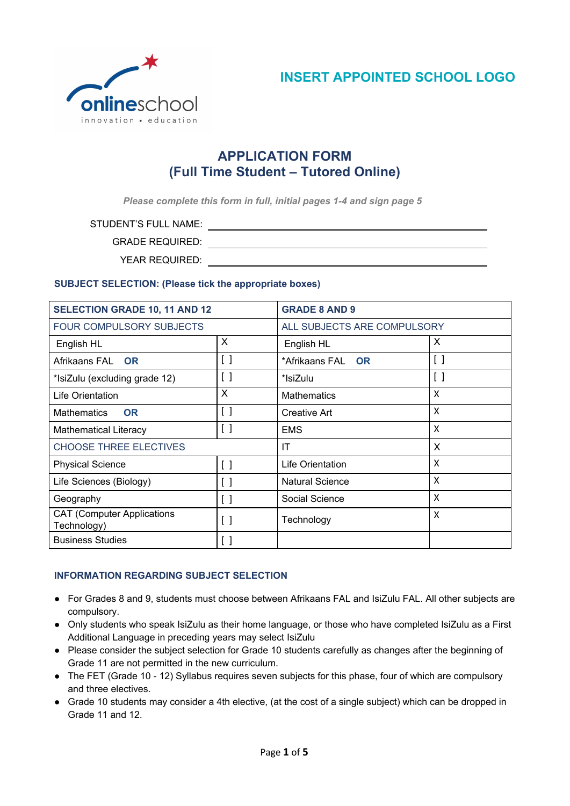

# **APPLICATION FORM (Full Time Student – Tutored Online)**

*Please complete this form in full, initial pages 1-4 and sign page 5*

STUDENT'S FULL NAME:

GRADE REQUIRED:

YEAR REQUIRED:

# **SUBJECT SELECTION: (Please tick the appropriate boxes)**

| <b>SELECTION GRADE 10, 11 AND 12</b>             |                                         | <b>GRADE 8 AND 9</b>        |     |
|--------------------------------------------------|-----------------------------------------|-----------------------------|-----|
| <b>FOUR COMPULSORY SUBJECTS</b>                  |                                         | ALL SUBJECTS ARE COMPULSORY |     |
| English HL                                       | X                                       | English HL                  | X   |
| Afrikaans FAL OR                                 | $\Box$                                  | *Afrikaans FAL OR           | [ ] |
| *IsiZulu (excluding grade 12)                    | $\left[ \ \right]$                      | *IsiZulu                    | [ ] |
| Life Orientation                                 | X                                       | <b>Mathematics</b>          | X   |
| <b>Mathematics</b><br><b>OR</b>                  | $\left[ \ \right]$                      | Creative Art                | X   |
| <b>Mathematical Literacy</b>                     | [ ]                                     | <b>EMS</b>                  | X   |
| <b>CHOOSE THREE ELECTIVES</b>                    |                                         | ΙT                          | X   |
| <b>Physical Science</b>                          | $\left[ \ \right]$                      | Life Orientation            | X   |
| Life Sciences (Biology)                          | $\begin{bmatrix} \end{bmatrix}$         | <b>Natural Science</b>      | X   |
| Geography                                        | $\begin{smallmatrix} \end{smallmatrix}$ | Social Science              | X   |
| <b>CAT (Computer Applications</b><br>Technology) | $\left[ \ \right]$                      | Technology                  | X   |
| <b>Business Studies</b>                          | [ ]                                     |                             |     |

# **INFORMATION REGARDING SUBJECT SELECTION**

- For Grades 8 and 9, students must choose between Afrikaans FAL and IsiZulu FAL. All other subjects are compulsory.
- Only students who speak IsiZulu as their home language, or those who have completed IsiZulu as a First Additional Language in preceding years may select IsiZulu
- Please consider the subject selection for Grade 10 students carefully as changes after the beginning of Grade 11 are not permitted in the new curriculum.
- The FET (Grade 10 12) Syllabus requires seven subjects for this phase, four of which are compulsory and three electives.
- Grade 10 students may consider a 4th elective, (at the cost of a single subject) which can be dropped in Grade 11 and 12.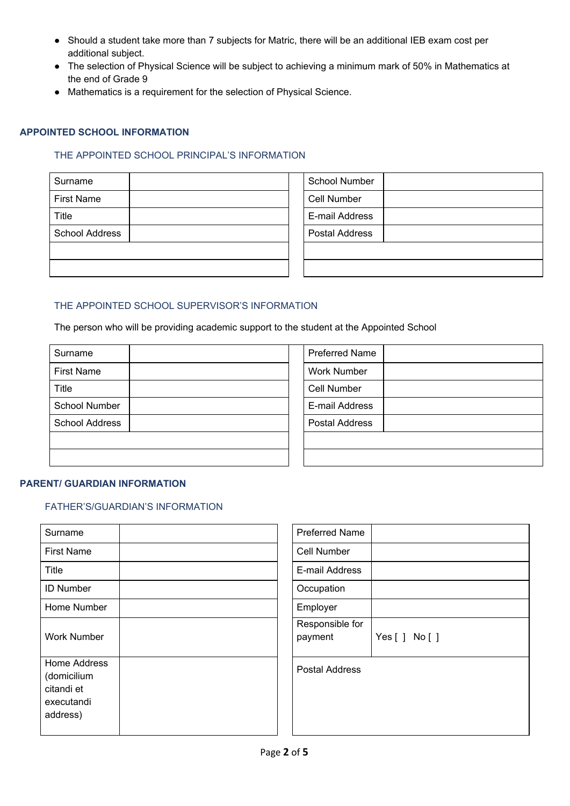- Should a student take more than 7 subjects for Matric, there will be an additional IEB exam cost per additional subject.
- The selection of Physical Science will be subject to achieving a minimum mark of 50% in Mathematics at the end of Grade 9
- Mathematics is a requirement for the selection of Physical Science.

## **APPOINTED SCHOOL INFORMATION**

# THE APPOINTED SCHOOL PRINCIPAL'S INFORMATION

| Surname               | <b>School Number</b> |
|-----------------------|----------------------|
| <b>First Name</b>     | Cell Number          |
| Title                 | E-mail Address       |
| <b>School Address</b> | Postal Address       |
|                       |                      |
|                       |                      |

# THE APPOINTED SCHOOL SUPERVISOR'S INFORMATION

The person who will be providing academic support to the student at the Appointed School

| Surname               |  | <b>Preferred Name</b> |
|-----------------------|--|-----------------------|
| <b>First Name</b>     |  | <b>Work Number</b>    |
| Title                 |  | Cell Number           |
| School Number         |  | E-mail Address        |
| <b>School Address</b> |  | <b>Postal Address</b> |
|                       |  |                       |
|                       |  |                       |

| <b>Preferred Name</b> |  |
|-----------------------|--|
| <b>Work Number</b>    |  |
| Cell Number           |  |
| E-mail Address        |  |
| <b>Postal Address</b> |  |
|                       |  |
|                       |  |

## **PARENT/ GUARDIAN INFORMATION**

# FATHER'S/GUARDIAN'S INFORMATION

| Surname                                                                    | <b>Preferred Name</b>      |
|----------------------------------------------------------------------------|----------------------------|
| <b>First Name</b>                                                          | Cell Number                |
| Title                                                                      | E-mail Address             |
| <b>ID Number</b>                                                           | Occupation                 |
| Home Number                                                                | Employer                   |
| <b>Work Number</b>                                                         | Responsible for<br>payment |
| <b>Home Address</b><br>(domicilium<br>citandi et<br>executandi<br>address) | Postal Address             |

| <b>Preferred Name</b> |            |
|-----------------------|------------|
| <b>Cell Number</b>    |            |
| E-mail Address        |            |
| Occupation            |            |
| Employer              |            |
| Responsible for       |            |
| payment               | Yes[] No[] |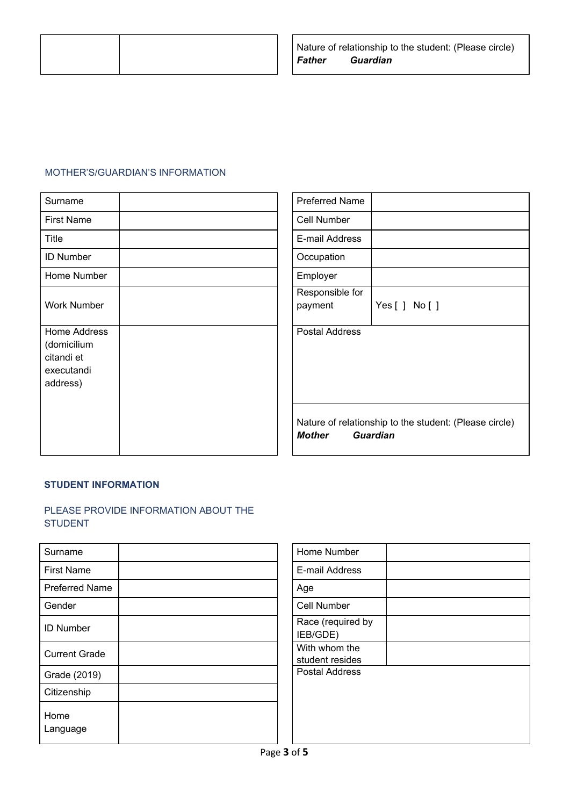

## MOTHER'S/GUARDIAN'S INFORMATION

| Surname                                                             | <b>Preferred Name</b>                                                                      |
|---------------------------------------------------------------------|--------------------------------------------------------------------------------------------|
| <b>First Name</b>                                                   | Cell Number                                                                                |
| <b>Title</b>                                                        | E-mail Address                                                                             |
| <b>ID Number</b>                                                    | Occupation                                                                                 |
| Home Number                                                         | Employer                                                                                   |
| <b>Work Number</b>                                                  | Responsible for<br>payment<br>Yes[] No[]                                                   |
| Home Address<br>(domicilium<br>citandi et<br>executandi<br>address) | <b>Postal Address</b>                                                                      |
|                                                                     | Nature of relationship to the student: (Please circle)<br><b>Mother</b><br><b>Guardian</b> |

#### **STUDENT INFORMATION**

# PLEASE PROVIDE INFORMATION ABOUT THE STUDENT

| Surname               | Home Number                      |
|-----------------------|----------------------------------|
| <b>First Name</b>     | E-mail Address                   |
| <b>Preferred Name</b> | Age                              |
| Gender                | Cell Number                      |
| <b>ID Number</b>      | Race (required<br>IEB/GDE)       |
| <b>Current Grade</b>  | With whom the<br>student resides |
| Grade (2019)          | Postal Address                   |
| Citizenship           |                                  |
| Home<br>Language      |                                  |

| Home Number                      |  |
|----------------------------------|--|
| E-mail Address                   |  |
| Age                              |  |
| Cell Number                      |  |
| Race (required by<br>IEB/GDE)    |  |
| With whom the<br>student resides |  |
| <b>Postal Address</b>            |  |
|                                  |  |
|                                  |  |
|                                  |  |
|                                  |  |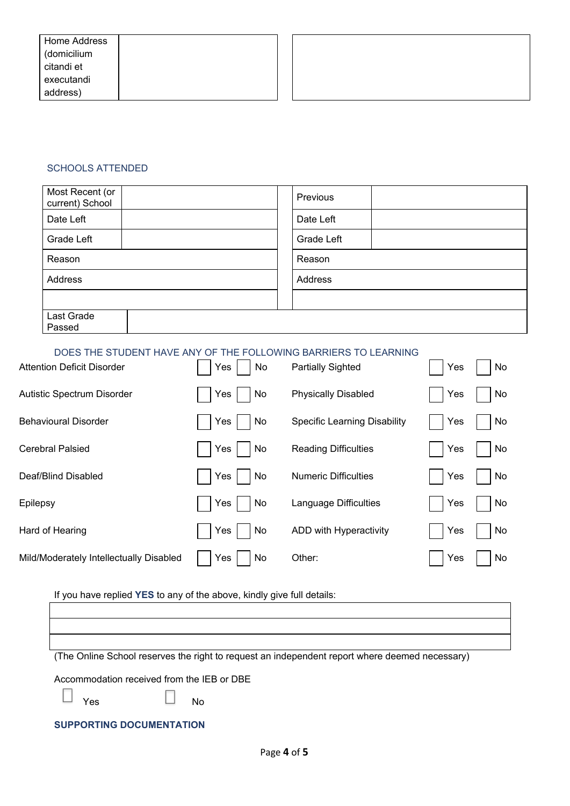## SCHOOLS ATTENDED

| Most Recent (or<br>current) School | Previous   |
|------------------------------------|------------|
| Date Left                          | Date Left  |
| Grade Left                         | Grade Left |
| Reason                             | Reason     |
| Address                            | Address    |
|                                    |            |
| Last Grade<br>Passed               |            |

# DOES THE STUDENT HAVE ANY OF THE FOLLOWING BARRIERS TO LEARNING

| <b>Attention Deficit Disorder</b>       | Yes  <br>No      | <b>Partially Sighted</b>            | Yes | No |
|-----------------------------------------|------------------|-------------------------------------|-----|----|
| Autistic Spectrum Disorder              | Yes<br>No        | <b>Physically Disabled</b>          | Yes | No |
| <b>Behavioural Disorder</b>             | Yes<br><b>No</b> | <b>Specific Learning Disability</b> | Yes | No |
| <b>Cerebral Palsied</b>                 | Yes<br>No        | <b>Reading Difficulties</b>         | Yes | No |
| Deaf/Blind Disabled                     | Yes<br>No        | <b>Numeric Difficulties</b>         | Yes | No |
| Epilepsy                                | Yes<br><b>No</b> | Language Difficulties               | Yes | No |
| Hard of Hearing                         | Yes<br>No        | ADD with Hyperactivity              | Yes | No |
| Mild/Moderately Intellectually Disabled | Yes<br>No        | Other:                              | Yes | No |

If you have replied **YES** to any of the above, kindly give full details:

| (The Online School reserves the right to request an independent report where deemed necessary) |
|------------------------------------------------------------------------------------------------|
| Accommodation received from the IEB or DBE                                                     |
| <b>No</b><br>Yes                                                                               |
| <b>SUPPORTING DOCUMENTATION</b>                                                                |